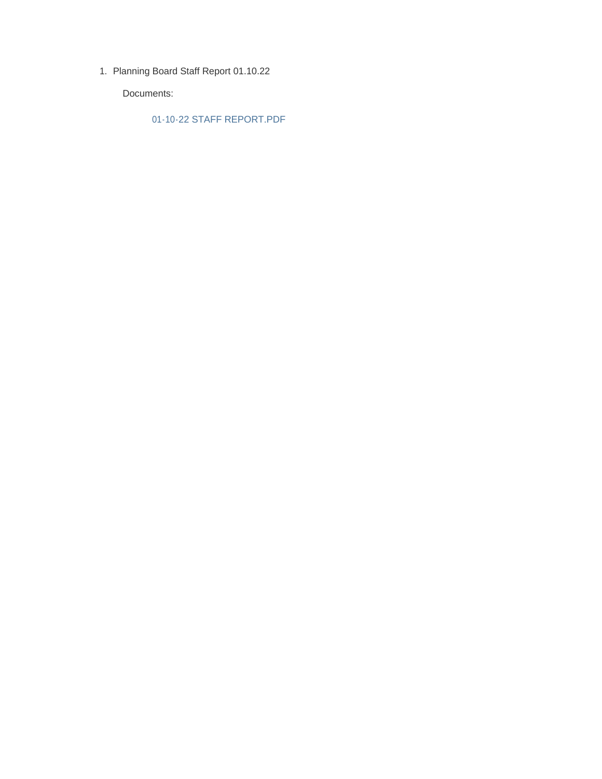1. Planning Board Staff Report 01.10.22

Documents:

01-10-22 STAFF REPORT.PDF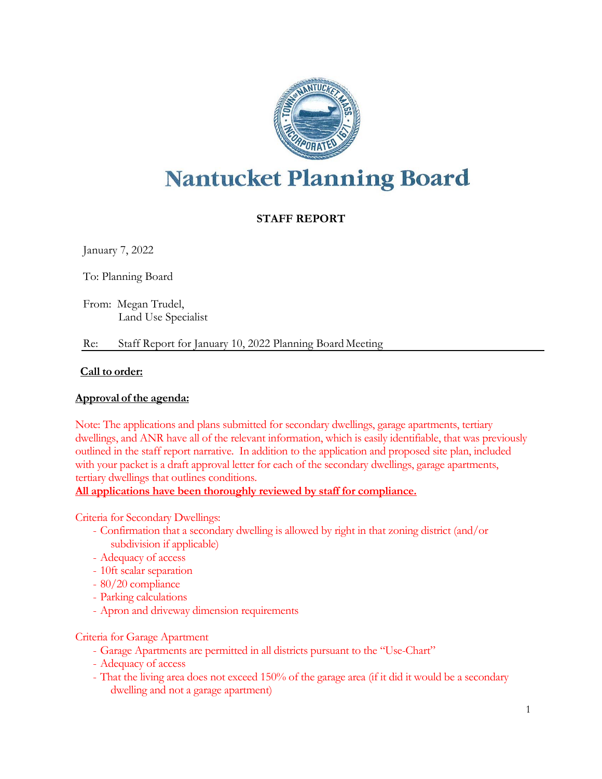

# **Nantucket Planning Board**

## **STAFF REPORT**

January 7, 2022

To: Planning Board

From: Megan Trudel, Land Use Specialist

Re: Staff Report for January 10, 2022 Planning Board Meeting

## **Call to order:**

## **Approval of the agenda:**

Note: The applications and plans submitted for secondary dwellings, garage apartments, tertiary dwellings, and ANR have all of the relevant information, which is easily identifiable, that was previously outlined in the staff report narrative. In addition to the application and proposed site plan, included with your packet is a draft approval letter for each of the secondary dwellings, garage apartments, tertiary dwellings that outlines conditions.

**All applications have been thoroughly reviewed by staff for compliance.**

Criteria for Secondary Dwellings:

- Confirmation that a secondary dwelling is allowed by right in that zoning district (and/or subdivision if applicable)
- Adequacy of access
- 10ft scalar separation
- 80/20 compliance
- Parking calculations
- Apron and driveway dimension requirements

Criteria for Garage Apartment

- Garage Apartments are permitted in all districts pursuant to the "Use-Chart"
- Adequacy of access
- That the living area does not exceed 150% of the garage area (if it did it would be a secondary dwelling and not a garage apartment)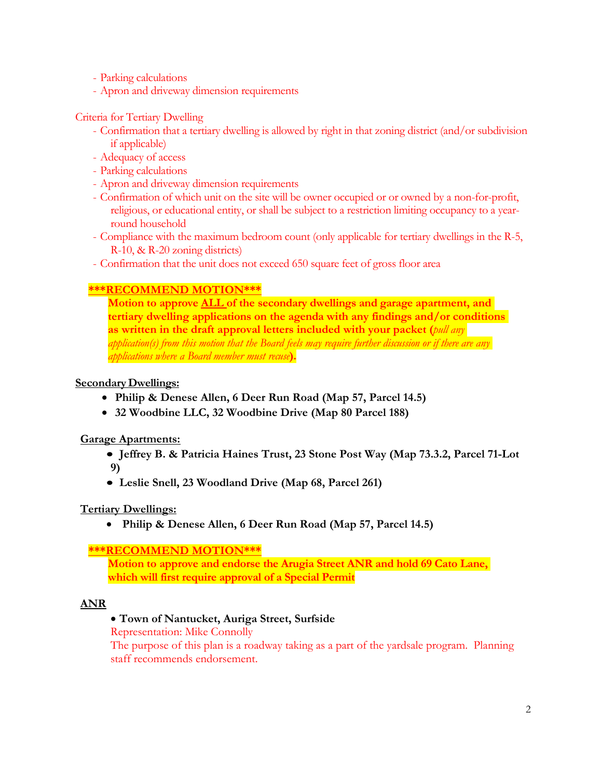- Parking calculations
- Apron and driveway dimension requirements

## Criteria for Tertiary Dwelling

- Confirmation that a tertiary dwelling is allowed by right in that zoning district (and/or subdivision if applicable)
- Adequacy of access
- Parking calculations
- Apron and driveway dimension requirements
- Confirmation of which unit on the site will be owner occupied or or owned by a non-for-profit, religious, or educational entity, or shall be subject to a restriction limiting occupancy to a yearround household
- Compliance with the maximum bedroom count (only applicable for tertiary dwellings in the R-5, R-10, & R-20 zoning districts)
- Confirmation that the unit does not exceed 650 square feet of gross floor area

## **\*\*\*RECOMMEND MOTION\*\*\***

**Motion to approve ALL of the secondary dwellings and garage apartment, and tertiary dwelling applications on the agenda with any findings and/or conditions as written in the draft approval letters included with your packet (***pull any application(s) from this motion that the Board feels may require further discussion or if there are any applications where a Board member must recuse***).**

## **SecondaryDwellings:**

- **Philip & Denese Allen, 6 Deer Run Road (Map 57, Parcel 14.5)**
- **32 Woodbine LLC, 32 Woodbine Drive (Map 80 Parcel 188)**

## **Garage Apartments:**

- **Jeffrey B. & Patricia Haines Trust, 23 Stone Post Way (Map 73.3.2, Parcel 71-Lot 9)**
- **Leslie Snell, 23 Woodland Drive (Map 68, Parcel 261)**

## **Tertiary Dwellings:**

• **Philip & Denese Allen, 6 Deer Run Road (Map 57, Parcel 14.5)**

## **\*\*\*RECOMMEND MOTION\*\*\***

**Motion to approve and endorse the Arugia Street ANR and hold 69 Cato Lane, which will first require approval of a Special Permit**

## **ANR**

## • **Town of Nantucket, Auriga Street, Surfside**

Representation: Mike Connolly

The purpose of this plan is a roadway taking as a part of the yardsale program. Planning staff recommends endorsement.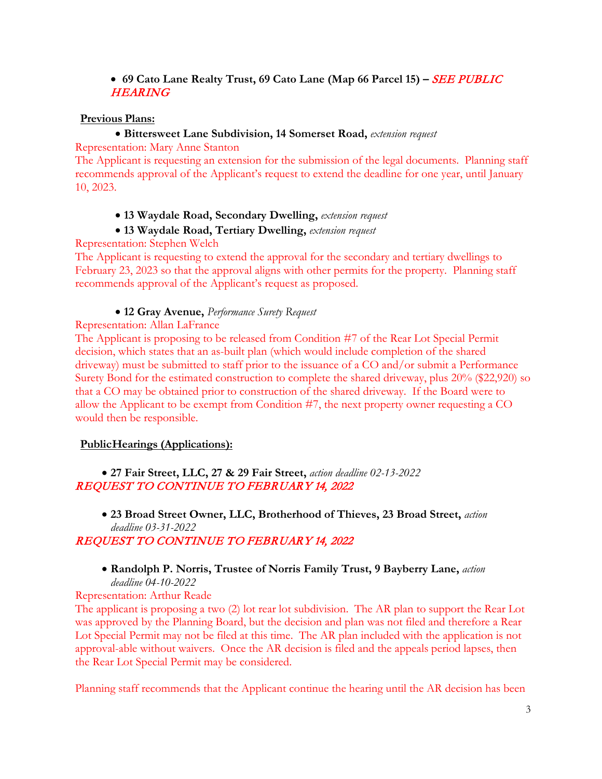## • **69 Cato Lane Realty Trust, 69 Cato Lane (Map 66 Parcel 15) –** SEE PUBLIC **HEARING**

## **Previous Plans:**

## • **Bittersweet Lane Subdivision, 14 Somerset Road,** *extension request*

Representation: Mary Anne Stanton

The Applicant is requesting an extension for the submission of the legal documents. Planning staff recommends approval of the Applicant's request to extend the deadline for one year, until January 10, 2023.

## • **13 Waydale Road, Secondary Dwelling,** *extension request*

## • **13 Waydale Road, Tertiary Dwelling,** *extension request*

Representation: Stephen Welch

The Applicant is requesting to extend the approval for the secondary and tertiary dwellings to February 23, 2023 so that the approval aligns with other permits for the property. Planning staff recommends approval of the Applicant's request as proposed.

## • **12 Gray Avenue,** *Performance Surety Request*

Representation: Allan LaFrance

The Applicant is proposing to be released from Condition #7 of the Rear Lot Special Permit decision, which states that an as-built plan (which would include completion of the shared driveway) must be submitted to staff prior to the issuance of a CO and/or submit a Performance Surety Bond for the estimated construction to complete the shared driveway, plus 20% (\$22,920) so that a CO may be obtained prior to construction of the shared driveway. If the Board were to allow the Applicant to be exempt from Condition #7, the next property owner requesting a CO would then be responsible.

## **PublicHearings (Applications):**

• **27 Fair Street, LLC, 27 & 29 Fair Street,** *action deadline 02-13-2022* REQUEST TO CONTINUE TO FEBRUARY 14, 2022

• **23 Broad Street Owner, LLC, Brotherhood of Thieves, 23 Broad Street,** *action deadline 03-31-2022* REQUEST TO CONTINUE TO FEBRUARY 14, 2022

# • **Randolph P. Norris, Trustee of Norris Family Trust, 9 Bayberry Lane,** *action*

*deadline 04-10-2022*

Representation: Arthur Reade

The applicant is proposing a two (2) lot rear lot subdivision. The AR plan to support the Rear Lot was approved by the Planning Board, but the decision and plan was not filed and therefore a Rear Lot Special Permit may not be filed at this time. The AR plan included with the application is not approval-able without waivers. Once the AR decision is filed and the appeals period lapses, then the Rear Lot Special Permit may be considered.

Planning staff recommends that the Applicant continue the hearing until the AR decision has been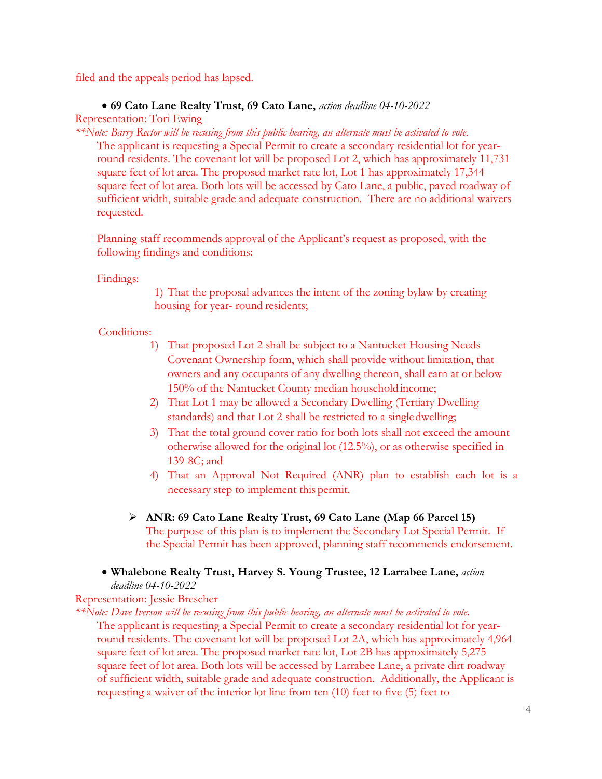filed and the appeals period has lapsed.

## • **69 Cato Lane Realty Trust, 69 Cato Lane,** *action deadline 04-10-2022*

Representation: Tori Ewing

*\*\*Note: Barry Rector will be recusing from this public hearing, an alternate must be activated to vote.* The applicant is requesting a Special Permit to create a secondary residential lot for yearround residents. The covenant lot will be proposed Lot 2, which has approximately 11,731 square feet of lot area. The proposed market rate lot, Lot 1 has approximately 17,344 square feet of lot area. Both lots will be accessed by Cato Lane, a public, paved roadway of sufficient width, suitable grade and adequate construction. There are no additional waivers requested.

Planning staff recommends approval of the Applicant's request as proposed, with the following findings and conditions:

## Findings:

1) That the proposal advances the intent of the zoning bylaw by creating housing for year- round residents;

## Conditions:

- 1) That proposed Lot 2 shall be subject to a Nantucket Housing Needs Covenant Ownership form, which shall provide without limitation, that owners and any occupants of any dwelling thereon, shall earn at or below 150% of the Nantucket County median household income;
- 2) That Lot 1 may be allowed a Secondary Dwelling (Tertiary Dwelling standards) and that Lot 2 shall be restricted to a singledwelling;
- 3) That the total ground cover ratio for both lots shall not exceed the amount otherwise allowed for the original lot (12.5%), or as otherwise specified in 139-8C; and
- 4) That an Approval Not Required (ANR) plan to establish each lot is a necessary step to implement this permit.
- **ANR: 69 Cato Lane Realty Trust, 69 Cato Lane (Map 66 Parcel 15)** The purpose of this plan is to implement the Secondary Lot Special Permit. If the Special Permit has been approved, planning staff recommends endorsement.
- **Whalebone Realty Trust, Harvey S. Young Trustee, 12 Larrabee Lane,** *action deadline 04-10-2022*

## Representation: Jessie Brescher

*\*\*Note: Dave Iverson will be recusing from this public hearing, an alternate must be activated to vote.* The applicant is requesting a Special Permit to create a secondary residential lot for yearround residents. The covenant lot will be proposed Lot 2A, which has approximately 4,964 square feet of lot area. The proposed market rate lot, Lot 2B has approximately 5,275 square feet of lot area. Both lots will be accessed by Larrabee Lane, a private dirt roadway of sufficient width, suitable grade and adequate construction. Additionally, the Applicant is requesting a waiver of the interior lot line from ten (10) feet to five (5) feet to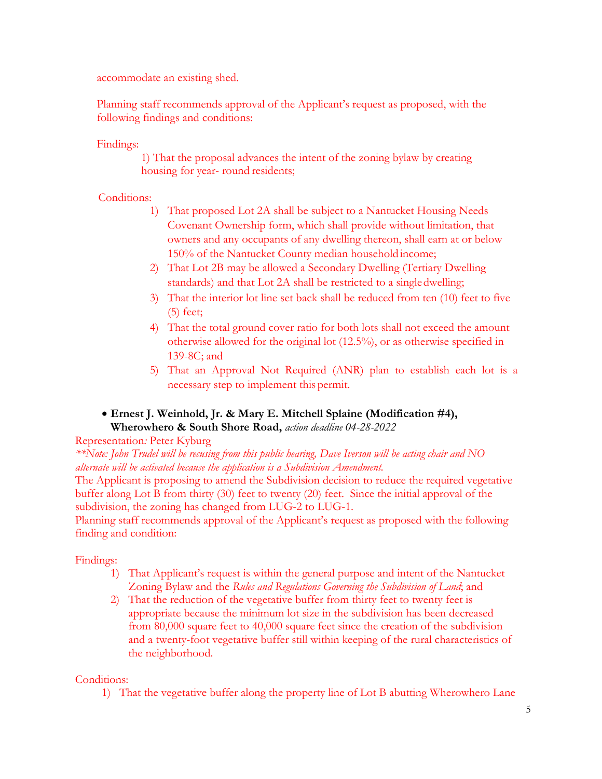accommodate an existing shed.

Planning staff recommends approval of the Applicant's request as proposed, with the following findings and conditions:

Findings:

1) That the proposal advances the intent of the zoning bylaw by creating housing for year- round residents;

## Conditions:

- 1) That proposed Lot 2A shall be subject to a Nantucket Housing Needs Covenant Ownership form, which shall provide without limitation, that owners and any occupants of any dwelling thereon, shall earn at or below 150% of the Nantucket County median household income;
- 2) That Lot 2B may be allowed a Secondary Dwelling (Tertiary Dwelling standards) and that Lot 2A shall be restricted to a singledwelling;
- 3) That the interior lot line set back shall be reduced from ten (10) feet to five (5) feet;
- 4) That the total ground cover ratio for both lots shall not exceed the amount otherwise allowed for the original lot (12.5%), or as otherwise specified in 139-8C; and
- 5) That an Approval Not Required (ANR) plan to establish each lot is a necessary step to implement this permit.
- **Ernest J. Weinhold, Jr. & Mary E. Mitchell Splaine (Modification #4), Wherowhero & South Shore Road,** *action deadline 04-28-2022*

## Representation*:* Peter Kyburg

*\*\*Note: John Trudel will be recusing from this public hearing, Dave Iverson will be acting chair and NO alternate will be activated because the application is a Subdivision Amendment.*

The Applicant is proposing to amend the Subdivision decision to reduce the required vegetative buffer along Lot B from thirty (30) feet to twenty (20) feet. Since the initial approval of the subdivision, the zoning has changed from LUG-2 to LUG-1.

Planning staff recommends approval of the Applicant's request as proposed with the following finding and condition:

## Findings:

- 1) That Applicant's request is within the general purpose and intent of the Nantucket Zoning Bylaw and the *Rules and Regulations Governing the Subdivision of Land*; and
- 2) That the reduction of the vegetative buffer from thirty feet to twenty feet is appropriate because the minimum lot size in the subdivision has been decreased from 80,000 square feet to 40,000 square feet since the creation of the subdivision and a twenty-foot vegetative buffer still within keeping of the rural characteristics of the neighborhood.

Conditions:

1) That the vegetative buffer along the property line of Lot B abutting Wherowhero Lane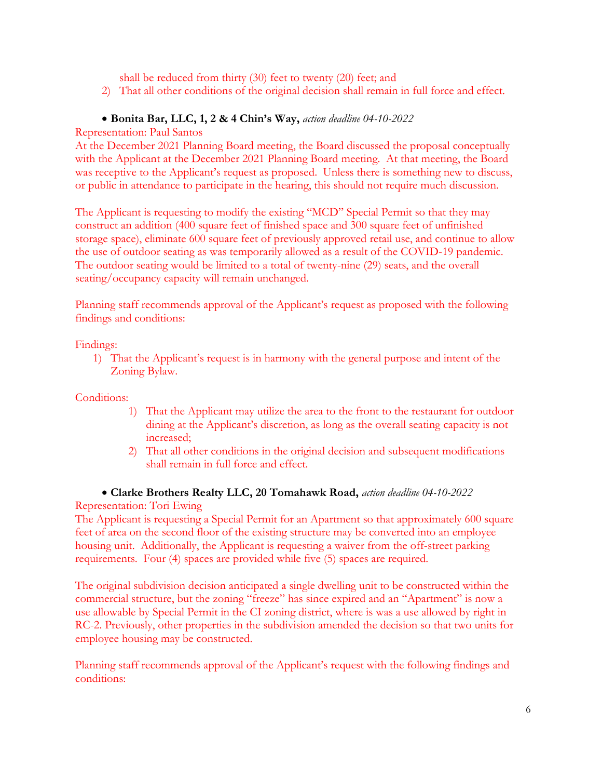shall be reduced from thirty (30) feet to twenty (20) feet; and

2) That all other conditions of the original decision shall remain in full force and effect.

#### • **Bonita Bar, LLC, 1, 2 & 4 Chin's Way,** *action deadline 04-10-2022*

Representation: Paul Santos

At the December 2021 Planning Board meeting, the Board discussed the proposal conceptually with the Applicant at the December 2021 Planning Board meeting. At that meeting, the Board was receptive to the Applicant's request as proposed. Unless there is something new to discuss, or public in attendance to participate in the hearing, this should not require much discussion.

The Applicant is requesting to modify the existing "MCD" Special Permit so that they may construct an addition (400 square feet of finished space and 300 square feet of unfinished storage space), eliminate 600 square feet of previously approved retail use, and continue to allow the use of outdoor seating as was temporarily allowed as a result of the COVID-19 pandemic. The outdoor seating would be limited to a total of twenty-nine (29) seats, and the overall seating/occupancy capacity will remain unchanged.

Planning staff recommends approval of the Applicant's request as proposed with the following findings and conditions:

Findings:

1) That the Applicant's request is in harmony with the general purpose and intent of the Zoning Bylaw.

Conditions:

- 1) That the Applicant may utilize the area to the front to the restaurant for outdoor dining at the Applicant's discretion, as long as the overall seating capacity is not increased;
- 2) That all other conditions in the original decision and subsequent modifications shall remain in full force and effect.
- **Clarke Brothers Realty LLC, 20 Tomahawk Road,** *action deadline 04-10-2022*

Representation: Tori Ewing

The Applicant is requesting a Special Permit for an Apartment so that approximately 600 square feet of area on the second floor of the existing structure may be converted into an employee housing unit. Additionally, the Applicant is requesting a waiver from the off-street parking requirements. Four (4) spaces are provided while five (5) spaces are required.

The original subdivision decision anticipated a single dwelling unit to be constructed within the commercial structure, but the zoning "freeze" has since expired and an "Apartment" is now a use allowable by Special Permit in the CI zoning district, where is was a use allowed by right in RC-2. Previously, other properties in the subdivision amended the decision so that two units for employee housing may be constructed.

Planning staff recommends approval of the Applicant's request with the following findings and conditions: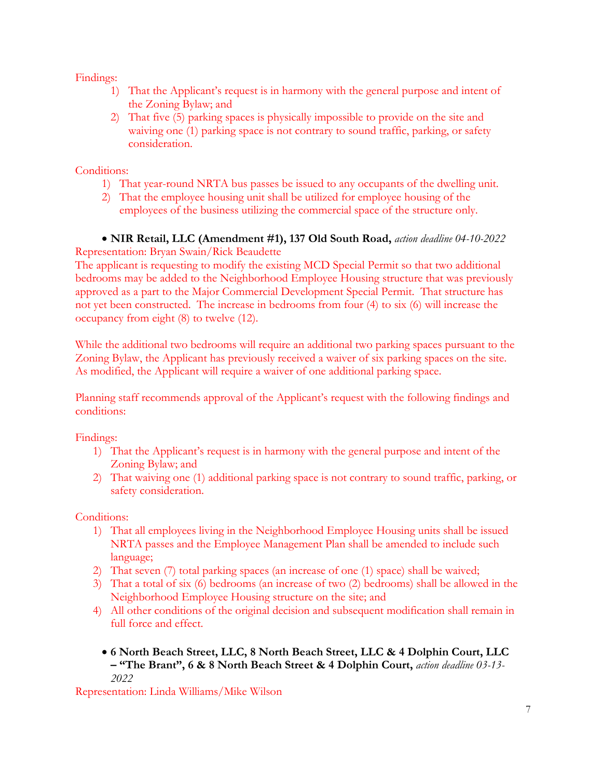Findings:

- 1) That the Applicant's request is in harmony with the general purpose and intent of the Zoning Bylaw; and
- 2) That five (5) parking spaces is physically impossible to provide on the site and waiving one (1) parking space is not contrary to sound traffic, parking, or safety consideration.

Conditions:

- 1) That year-round NRTA bus passes be issued to any occupants of the dwelling unit.
- 2) That the employee housing unit shall be utilized for employee housing of the employees of the business utilizing the commercial space of the structure only.

## • **NIR Retail, LLC (Amendment #1), 137 Old South Road,** *action deadline 04-10-2022*

Representation: Bryan Swain/Rick Beaudette

The applicant is requesting to modify the existing MCD Special Permit so that two additional bedrooms may be added to the Neighborhood Employee Housing structure that was previously approved as a part to the Major Commercial Development Special Permit. That structure has not yet been constructed. The increase in bedrooms from four (4) to six (6) will increase the occupancy from eight (8) to twelve (12).

While the additional two bedrooms will require an additional two parking spaces pursuant to the Zoning Bylaw, the Applicant has previously received a waiver of six parking spaces on the site. As modified, the Applicant will require a waiver of one additional parking space.

Planning staff recommends approval of the Applicant's request with the following findings and conditions:

Findings:

- 1) That the Applicant's request is in harmony with the general purpose and intent of the Zoning Bylaw; and
- 2) That waiving one (1) additional parking space is not contrary to sound traffic, parking, or safety consideration.

Conditions:

- 1) That all employees living in the Neighborhood Employee Housing units shall be issued NRTA passes and the Employee Management Plan shall be amended to include such language;
- 2) That seven (7) total parking spaces (an increase of one (1) space) shall be waived;
- 3) That a total of six (6) bedrooms (an increase of two (2) bedrooms) shall be allowed in the Neighborhood Employee Housing structure on the site; and
- 4) All other conditions of the original decision and subsequent modification shall remain in full force and effect.
	- **6 North Beach Street, LLC, 8 North Beach Street, LLC & 4 Dolphin Court, LLC – "The Brant", 6 & 8 North Beach Street & 4 Dolphin Court,** *action deadline 03-13- 2022*

Representation: Linda Williams/Mike Wilson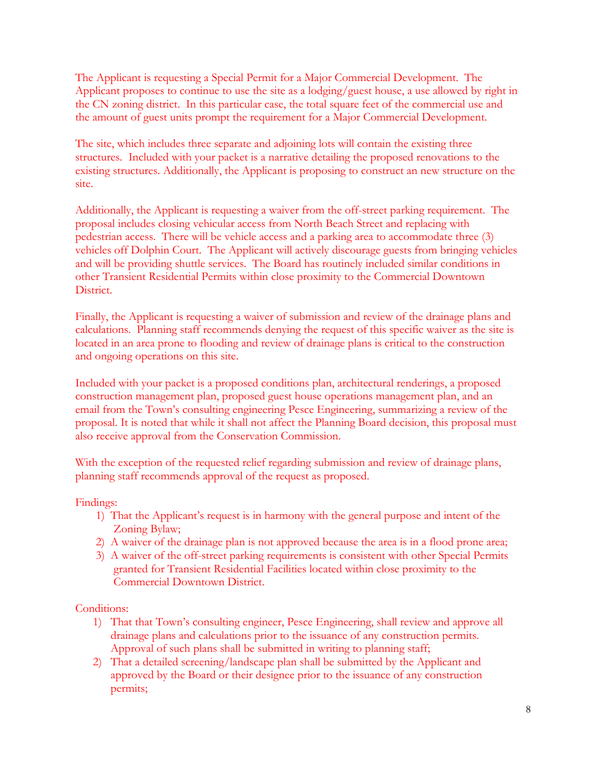The Applicant is requesting a Special Permit for a Major Commercial Development. The Applicant proposes to continue to use the site as a lodging/guest house, a use allowed by right in the CN zoning district. In this particular case, the total square feet of the commercial use and the amount of guest units prompt the requirement for a Major Commercial Development.

The site, which includes three separate and adjoining lots will contain the existing three structures. Included with your packet is a narrative detailing the proposed renovations to the existing structures. Additionally, the Applicant is proposing to construct an new structure on the site.

Additionally, the Applicant is requesting a waiver from the off-street parking requirement. The proposal includes closing vehicular access from North Beach Street and replacing with pedestrian access. There will be vehicle access and a parking area to accommodate three (3) vehicles off Dolphin Court. The Applicant will actively discourage guests from bringing vehicles and will be providing shuttle services. The Board has routinely included similar conditions in other Transient Residential Permits within close proximity to the Commercial Downtown District.

Finally, the Applicant is requesting a waiver of submission and review of the drainage plans and calculations. Planning staff recommends denying the request of this specific waiver as the site is located in an area prone to flooding and review of drainage plans is critical to the construction and ongoing operations on this site.

Included with your packet is a proposed conditions plan, architectural renderings, a proposed construction management plan, proposed guest house operations management plan, and an email from the Town's consulting engineering Pesce Engineering, summarizing a review of the proposal. It is noted that while it shall not affect the Planning Board decision, this proposal must also receive approval from the Conservation Commission.

With the exception of the requested relief regarding submission and review of drainage plans, planning staff recommends approval of the request as proposed.

Findings:

- 1) That the Applicant's request is in harmony with the general purpose and intent of the Zoning Bylaw;
- 2) A waiver of the drainage plan is not approved because the area is in a flood prone area;
- 3) A waiver of the off-street parking requirements is consistent with other Special Permits granted for Transient Residential Facilities located within close proximity to the Commercial Downtown District.

Conditions:

- 1) That that Town's consulting engineer, Pesce Engineering, shall review and approve all drainage plans and calculations prior to the issuance of any construction permits. Approval of such plans shall be submitted in writing to planning staff;
- 2) That a detailed screening/landscape plan shall be submitted by the Applicant and approved by the Board or their designee prior to the issuance of any construction permits;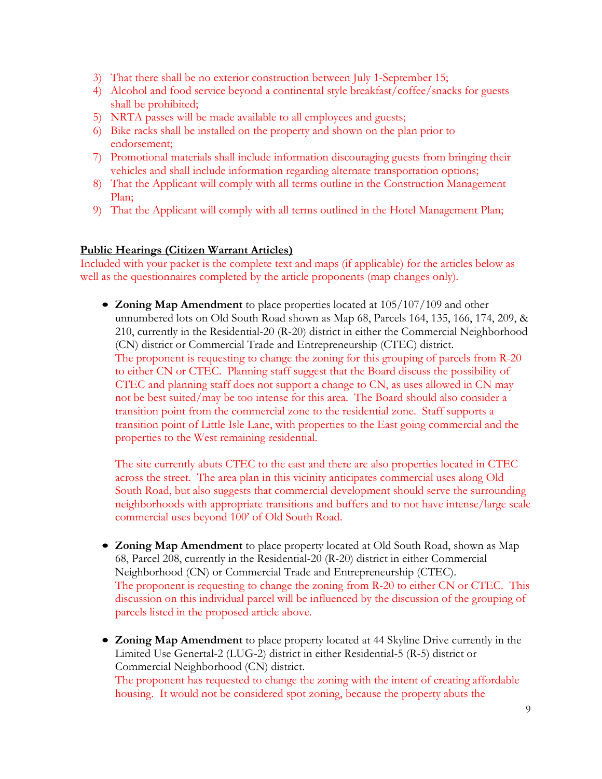- 3) That there shall be no exterior construction between July 1-September 15;
- 4) Alcohol and food service beyond a continental style breakfast/coffee/snacks for guests shall be prohibited;
- 5) NRTA passes will be made available to all employees and guests;
- 6) Bike racks shall be installed on the property and shown on the plan prior to endorsement;
- 7) Promotional materials shall include information discouraging guests from bringing their vehicles and shall include information regarding alternate transportation options;
- 8) That the Applicant will comply with all terms outline in the Construction Management Plan;
- 9) That the Applicant will comply with all terms outlined in the Hotel Management Plan;

## **Public Hearings (Citizen Warrant Articles)**

Included with your packet is the complete text and maps (if applicable) for the articles below as well as the questionnaires completed by the article proponents (map changes only).

• **Zoning Map Amendment** to place properties located at 105/107/109 and other unnumbered lots on Old South Road shown as Map 68, Parcels 164, 135, 166, 174, 209, & 210, currently in the Residential-20 (R-20) district in either the Commercial Neighborhood (CN) district or Commercial Trade and Entrepreneurship (CTEC) district. The proponent is requesting to change the zoning for this grouping of parcels from R-20 to either CN or CTEC. Planning staff suggest that the Board discuss the possibility of CTEC and planning staff does not support a change to CN, as uses allowed in CN may not be best suited/may be too intense for this area. The Board should also consider a transition point from the commercial zone to the residential zone. Staff supports a transition point of Little Isle Lane, with properties to the East going commercial and the properties to the West remaining residential.

The site currently abuts CTEC to the east and there are also properties located in CTEC across the street. The area plan in this vicinity anticipates commercial uses along Old South Road, but also suggests that commercial development should serve the surrounding neighborhoods with appropriate transitions and buffers and to not have intense/large scale commercial uses beyond 100' of Old South Road.

- **Zoning Map Amendment** to place property located at Old South Road, shown as Map 68, Parcel 208, currently in the Residential-20 (R-20) district in either Commercial Neighborhood (CN) or Commercial Trade and Entrepreneurship (CTEC). The proponent is requesting to change the zoning from R-20 to either CN or CTEC. This discussion on this individual parcel will be influenced by the discussion of the grouping of parcels listed in the proposed article above.
- **Zoning Map Amendment** to place property located at 44 Skyline Drive currently in the Limited Use Genertal-2 (LUG-2) district in either Residential-5 (R-5) district or Commercial Neighborhood (CN) district. The proponent has requested to change the zoning with the intent of creating affordable housing. It would not be considered spot zoning, because the property abuts the